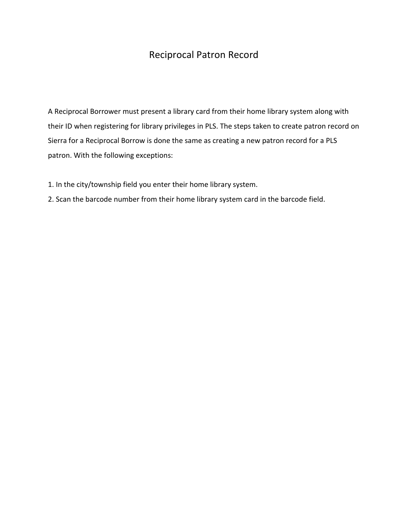## Reciprocal Patron Record

A Reciprocal Borrower must present a library card from their home library system along with their ID when registering for library privileges in PLS. The steps taken to create patron record on Sierra for a Reciprocal Borrow is done the same as creating a new patron record for a PLS patron. With the following exceptions:

- 1. In the city/township field you enter their home library system.
- 2. Scan the barcode number from their home library system card in the barcode field.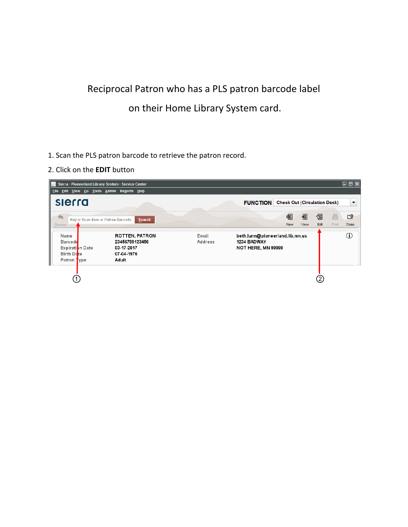## Reciprocal Patron who has a PLS patron barcode label on their Home Library System card.

- 1. Scan the PLS patron barcode to retrieve the patron record.
- 2. Click on the **EDIT** button

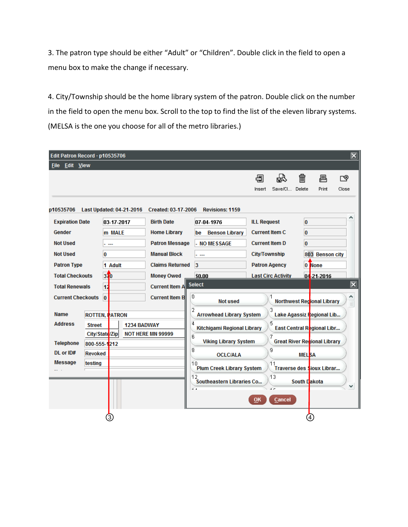3. The patron type should be either "Adult" or "Children". Double click in the field to open a menu box to make the change if necessary.

4. City/Township should be the home library system of the patron. Double click on the number in the field to open the menu box. Scroll to the top to find the list of the eleven library systems. (MELSA is the one you choose for all of the metro libraries.)

| $\overline{\mathsf{x}}$<br>Edit Patron Record · p10535706                                                                                                                                                |                                |         |                       |                                      |                                        |                                 |                                |                              |                          |                         |  |
|----------------------------------------------------------------------------------------------------------------------------------------------------------------------------------------------------------|--------------------------------|---------|-----------------------|--------------------------------------|----------------------------------------|---------------------------------|--------------------------------|------------------------------|--------------------------|-------------------------|--|
| <b>File Edit View</b>                                                                                                                                                                                    |                                |         |                       |                                      |                                        |                                 |                                |                              |                          |                         |  |
|                                                                                                                                                                                                          |                                |         |                       |                                      |                                        | 囹                               | 49                             | 冊                            | 肙                        | Γ⊗                      |  |
|                                                                                                                                                                                                          |                                |         |                       |                                      |                                        | Insert                          | Save/Cl                        | Delete                       | Print                    | Close                   |  |
| Created: 03-17-2006<br><b>Revisions: 1159</b><br>p10535706<br>Last Updated: 04-21-2016<br>۸<br><b>Expiration Date</b><br><b>Birth Date</b><br><b>ILL Request</b><br>03-17-2017<br>07-04-1976<br>$\bf{0}$ |                                |         |                       |                                      |                                        |                                 |                                |                              |                          |                         |  |
| Gender                                                                                                                                                                                                   |                                | m MALE  |                       | <b>Home Library</b>                  | <b>Benson Library</b><br>be            | <b>Current Item C</b>           |                                |                              | O                        |                         |  |
| <b>Not Used</b>                                                                                                                                                                                          |                                | ---     |                       | <b>Patron Message</b>                | - NO MESSAGE                           | <b>Current Item D</b>           |                                |                              | 0                        |                         |  |
| <b>Not Used</b>                                                                                                                                                                                          |                                | 0       |                       | <b>Manual Block</b>                  | ---                                    | <b>City/Township</b>            |                                |                              | 803 Benson city          |                         |  |
| <b>Patron Type</b>                                                                                                                                                                                       |                                | 1 Adult |                       | <b>Claims Returned</b>               | $\overline{\mathbf{3}}$                | <b>Patron Agency</b>            |                                |                              | 0 None                   |                         |  |
| <b>Total Checkouts</b>                                                                                                                                                                                   |                                | 370     |                       | <b>Money Owed</b>                    | \$0.00                                 |                                 | <b>Last Circ Activity</b>      |                              | 04-21-2016               |                         |  |
| <b>Total Renewals</b>                                                                                                                                                                                    |                                | 12      |                       | <b>Current Item All</b>              | <b>Select</b>                          |                                 |                                |                              |                          | $\overline{\mathbf{x}}$ |  |
| $\bf{0}$<br><b>Current Checkouts</b>                                                                                                                                                                     |                                |         | <b>Current Item B</b> | 0<br><b>Not used</b>                 |                                        |                                 | Northwest Rectional Library    |                              | $\frac{\lambda}{\equiv}$ |                         |  |
| <b>Name</b>                                                                                                                                                                                              | <b>ROTTEN, PATRON</b>          |         |                       | 2<br><b>Arrowhead Library System</b> |                                        |                                 | Lake Agassiz Regional Lib      |                              |                          |                         |  |
| <b>Address</b>                                                                                                                                                                                           | <b>Street</b><br>1234 BADWAY   |         |                       | 4<br>Kitchigami Regional Library     |                                        | 5<br>East Central Regional Libr |                                |                              |                          |                         |  |
|                                                                                                                                                                                                          | City/State <sup>/</sup> Zip    |         |                       | NOT HERE MN 99999                    | 6<br><b>Viking Library System</b>      |                                 | 7                              | Great River Redional Library |                          |                         |  |
| <b>Telephone</b><br>DL or ID#                                                                                                                                                                            | 800-555-1212<br><b>Revoked</b> |         |                       | 8                                    |                                        | 9                               |                                |                              |                          |                         |  |
| <b>Message</b>                                                                                                                                                                                           | testing                        |         |                       |                                      | <b>OCLC/ALA</b><br>10                  |                                 | 11                             | <b>MELSA</b>                 |                          |                         |  |
|                                                                                                                                                                                                          |                                |         |                       |                                      | <b>Plum Creek Library System</b>       |                                 |                                | Traverse des Sioux Librar    |                          |                         |  |
|                                                                                                                                                                                                          |                                |         |                       |                                      | 12<br>Southeastern Libraries Co<br>á i | <b>OK</b>                       | 13<br>$\overline{A}$<br>Cancel | South Dakota                 |                          | ٧                       |  |
|                                                                                                                                                                                                          |                                |         |                       |                                      |                                        |                                 |                                |                              |                          |                         |  |